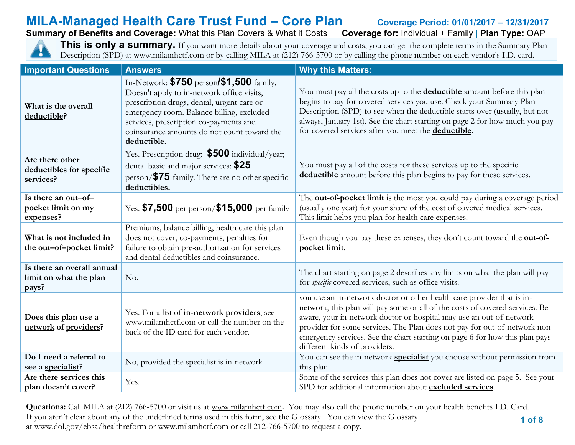# **MILA-Managed Health Care Trust Fund – Core Plan** Coverage Period: 01/01/2017 – 12/31/2017<br>Summary of Benefits and Coverage: What this Plan Covers & What it Costs Coverage for: Individual + Family | Plan Type: OAP

## **Summary of Benefits and Coverage: What this Plan Covers & What it Costs**

**This is only a summary.** If you want more details about your coverage and costs, you can get the complete terms in the Summary Plan Description (SPD) at www.milamhctf.com or by calling MILA at (212) 766-5700 or by calling the phone number on each vendor's I.D. card.

| <b>Important Questions</b>                                    | <b>Answers</b>                                                                                                                                                                                                                                                                               | <b>Why this Matters:</b>                                                                                                                                                                                                                                                                                                                                                                                                   |
|---------------------------------------------------------------|----------------------------------------------------------------------------------------------------------------------------------------------------------------------------------------------------------------------------------------------------------------------------------------------|----------------------------------------------------------------------------------------------------------------------------------------------------------------------------------------------------------------------------------------------------------------------------------------------------------------------------------------------------------------------------------------------------------------------------|
| What is the overall<br>deductible?                            | In-Network: $$750$ person/ $$1,500$ family.<br>Doesn't apply to in-network office visits,<br>prescription drugs, dental, urgent care or<br>emergency room. Balance billing, excluded<br>services, prescription co-payments and<br>coinsurance amounts do not count toward the<br>deductible. | You must pay all the costs up to the <b>deductible</b> amount before this plan<br>begins to pay for covered services you use. Check your Summary Plan<br>Description (SPD) to see when the deductible starts over (usually, but not<br>always, January 1st). See the chart starting on page 2 for how much you pay<br>for covered services after you meet the deductible.                                                  |
| Are there other<br>deductibles for specific<br>services?      | Yes. Prescription drug: \$500 individual/year;<br>dental basic and major services: \$25<br>$person$ / $$75$ family. There are no other specific<br>deductibles.                                                                                                                              | You must pay all of the costs for these services up to the specific<br>deductible amount before this plan begins to pay for these services.                                                                                                                                                                                                                                                                                |
| Is there an out-of-<br>pocket limit on my<br>expenses?        | Yes. $$7,500$ per person/ $$15,000$ per family                                                                                                                                                                                                                                               | The <b>out-of-pocket limit</b> is the most you could pay during a coverage period<br>(usually one year) for your share of the cost of covered medical services.<br>This limit helps you plan for health care expenses.                                                                                                                                                                                                     |
| What is not included in<br>the out-of-pocket limit?           | Premiums, balance billing, health care this plan<br>does not cover, co-payments, penalties for<br>failure to obtain pre-authorization for services<br>and dental deductibles and coinsurance.                                                                                                | Even though you pay these expenses, they don't count toward the <b>out-of-</b><br>pocket limit.                                                                                                                                                                                                                                                                                                                            |
| Is there an overall annual<br>limit on what the plan<br>pays? | No.                                                                                                                                                                                                                                                                                          | The chart starting on page 2 describes any limits on what the plan will pay<br>for <i>specific</i> covered services, such as office visits.                                                                                                                                                                                                                                                                                |
| Does this plan use a<br>network of providers?                 | Yes. For a list of <i>in-network</i> providers, see<br>www.milamhctf.com or call the number on the<br>back of the ID card for each vendor.                                                                                                                                                   | you use an in-network doctor or other health care provider that is in-<br>network, this plan will pay some or all of the costs of covered services. Be<br>aware, your in-network doctor or hospital may use an out-of-network<br>provider for some services. The Plan does not pay for out-of-network non-<br>emergency services. See the chart starting on page 6 for how this plan pays<br>different kinds of providers. |
| Do I need a referral to<br>see a specialist?                  | No, provided the specialist is in-network                                                                                                                                                                                                                                                    | You can see the in-network specialist you choose without permission from<br>this plan.                                                                                                                                                                                                                                                                                                                                     |
| Are there services this<br>plan doesn't cover?                | Yes.                                                                                                                                                                                                                                                                                         | Some of the services this plan does not cover are listed on page 5. See your<br>SPD for additional information about excluded services.                                                                                                                                                                                                                                                                                    |

 **1 of 8 Questions:** Call MILA at (212) 766-5700 or visit us at [www.milamhctf.com](http://www.milamhctf.com/)**.** You may also call the phone number on your health benefits I.D. Card. If you aren't clear about any of the underlined terms used in this form, see the Glossary. You can view the Glossary at [www.dol.gov/ebsa/healthreform](http://www.dol.gov/ebsa/healthreform) or [www.milamhctf.com](http://www.milamhctf.com/) or call 212-766-5700 to request a copy.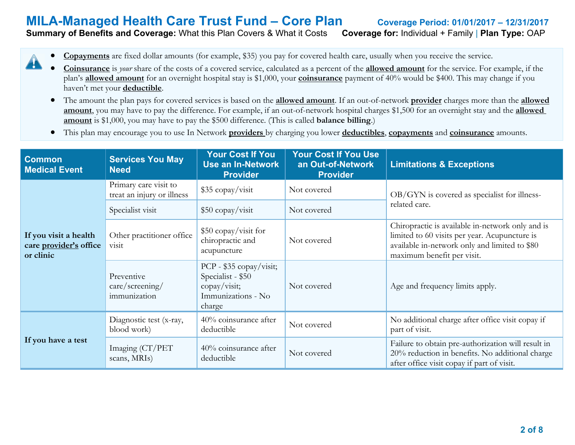## **MILA-Managed Health Care Trust Fund – Core Plan Coverage Period: 01/01/2017 – 12/31/2017 Summary of Benefits and Coverage:** What this Plan Covers & What it Costs **Coverage for:** Individual + Family | **Plan Type:** OAP

• **Copayments** are fixed dollar amounts (for example, \$35) you pay for covered health care, usually when you receive the service. A

- **Coinsurance** is *your* share of the costs of a covered service, calculated as a percent of the **allowed amount** for the service. For example, if the plan's **allowed amount** for an overnight hospital stay is \$1,000, your **coinsurance** payment of 40% would be \$400. This may change if you haven't met your **deductible**.
	- The amount the plan pays for covered services is based on the **allowed amount**. If an out-of-network **provider** charges more than the **allowed amount**, you may have to pay the difference. For example, if an out-of-network hospital charges \$1,500 for an overnight stay and the **allowed amount** is \$1,000, you may have to pay the \$500 difference. (This is called **balance billing**.)
	- This plan may encourage you to use In Network **providers** by charging you lower **deductibles**, **copayments** and **coinsurance** amounts.

| <b>Common</b><br><b>Medical Event</b>                        | <b>Services You May</b><br><b>Need</b>              | <b>Your Cost If You</b><br><b>Use an In-Network</b><br><b>Provider</b>                        | <b>Your Cost If You Use</b><br>an Out-of-Network<br><b>Provider</b> | <b>Limitations &amp; Exceptions</b>                                                                                                                                              |  |
|--------------------------------------------------------------|-----------------------------------------------------|-----------------------------------------------------------------------------------------------|---------------------------------------------------------------------|----------------------------------------------------------------------------------------------------------------------------------------------------------------------------------|--|
| If you visit a health<br>care provider's office<br>or clinic | Primary care visit to<br>treat an injury or illness | \$35 copay/visit                                                                              | Not covered                                                         | OB/GYN is covered as specialist for illness-                                                                                                                                     |  |
|                                                              | Specialist visit                                    | $$50$ copay/visit                                                                             | Not covered                                                         | related care.                                                                                                                                                                    |  |
|                                                              | Other practitioner office<br>visit                  | \$50 copay/visit for<br>chiropractic and<br>acupuncture                                       | Not covered                                                         | Chiropractic is available in-network only and is<br>limited to 60 visits per year. Acupuncture is<br>available in-network only and limited to \$80<br>maximum benefit per visit. |  |
|                                                              | Preventive<br>care/screening/<br>immunization       | PCP - $$35$ copay/visit;<br>Specialist - \$50<br>copay/visit;<br>Immunizations - No<br>charge | Not covered                                                         | Age and frequency limits apply.                                                                                                                                                  |  |
| If you have a test                                           | Diagnostic test (x-ray,<br>blood work)              | 40% coinsurance after<br>deductible                                                           | Not covered                                                         | No additional charge after office visit copay if<br>part of visit.                                                                                                               |  |
|                                                              | Imaging (CT/PET<br>scans, MRIs)                     | $40\%$ coinsurance after<br>deductible                                                        | Not covered                                                         | Failure to obtain pre-authorization will result in<br>20% reduction in benefits. No additional charge<br>after office visit copay if part of visit.                              |  |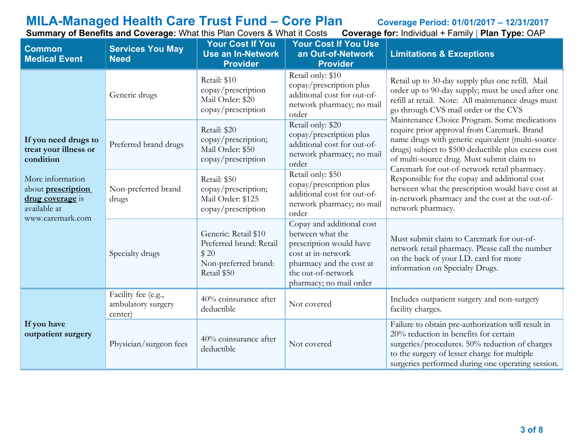## **MILA-Managed Health Care Trust Fund – Core Plan Coverage Period: 01/01/2017 – 12/31/2017**

**Summary of Benefits and Coverage:** What this Plan Covers & What it Costs **Coverage for:** Individual + Family | **Plan Type:** OAP

| <b>Common</b><br><b>Medical Event</b>                                             | <b>Services You May</b><br><b>Need</b>               | <b>Your Cost If You</b><br><b>Use an In-Network</b><br><b>Provider</b>                         | <b>Your Cost If You Use</b><br>an Out-of-Network<br><b>Provider</b>                                                                                                         | <b>Limitations &amp; Exceptions</b>                                                                                                                                                                                                                  |
|-----------------------------------------------------------------------------------|------------------------------------------------------|------------------------------------------------------------------------------------------------|-----------------------------------------------------------------------------------------------------------------------------------------------------------------------------|------------------------------------------------------------------------------------------------------------------------------------------------------------------------------------------------------------------------------------------------------|
|                                                                                   | Generic drugs                                        | Retail: \$10<br>copay/prescription<br>Mail Order: \$20<br>copay/prescription                   | Retail only: \$10<br>copay/prescription plus<br>additional cost for out-of-<br>network pharmacy; no mail<br>order                                                           | Retail up to 30-day supply plus one refill. Mail<br>order up to 90-day supply; must be used after one<br>refill at retail. Note: All maintenance drugs must<br>go through CVS mail order or the CVS<br>Maintenance Choice Program. Some medications  |
| If you need drugs to<br>treat your illness or<br>condition                        | Preferred brand drugs                                | Retail: \$20<br>copay/prescription;<br>Mail Order: \$50<br>copay/prescription                  | Retail only: \$20<br>copay/prescription plus<br>additional cost for out-of-<br>network pharmacy; no mail<br>order                                                           | require prior approval from Caremark. Brand<br>name drugs with generic equivalent (multi-source<br>drugs) subject to \$500 deductible plus excess cost<br>of multi-source drug. Must submit claim to<br>Caremark for out-of-network retail pharmacy. |
| More information<br>about <b>prescription</b><br>drug coverage is<br>available at | Non-preferred brand<br>drugs                         | Retail: \$50<br>copay/prescription;<br>Mail Order: \$125<br>copay/prescription                 | Retail only: \$50<br>copay/prescription plus<br>additional cost for out-of-<br>network pharmacy; no mail<br>order                                                           | Responsible for the copay and additional cost<br>between what the prescription would have cost at<br>in-network pharmacy and the cost at the out-of-<br>network pharmacy.                                                                            |
| www.caremark.com                                                                  | Specialty drugs                                      | Generic: Retail \$10<br>Preferred brand: Retail<br>\$20<br>Non-preferred brand:<br>Retail \$50 | Copay and additional cost<br>between what the<br>prescription would have<br>cost at in-network<br>pharmacy and the cost at<br>the out-of-network<br>pharmacy; no mail order | Must submit claim to Caremark for out-of-<br>network retail pharmacy. Please call the number<br>on the back of your I.D. card for more<br>information on Specialty Drugs.                                                                            |
| If you have<br>outpatient surgery                                                 | Facility fee (e.g.,<br>ambulatory surgery<br>center) | 40% coinsurance after<br>deductible                                                            | Not covered                                                                                                                                                                 | Includes outpatient surgery and non-surgery<br>facility charges.                                                                                                                                                                                     |
|                                                                                   | Physician/surgeon fees                               | 40% coinsurance after<br>deductible                                                            | Not covered                                                                                                                                                                 | Failure to obtain pre-authorization will result in<br>20% reduction in benefits for certain<br>surgeries/procedures. 50% reduction of charges<br>to the surgery of lesser charge for multiple<br>surgeries performed during one operating session.   |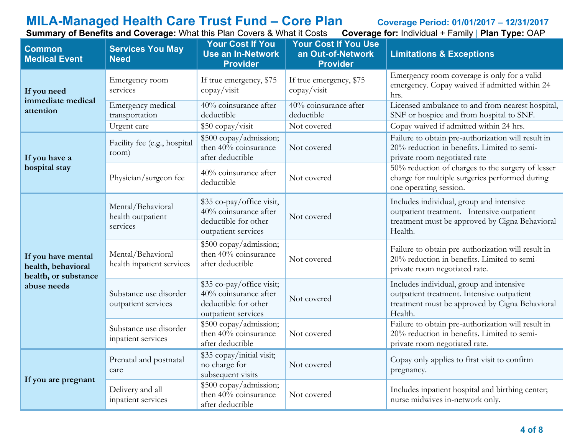## **MILA-Managed Health Care Trust Fund – Core Plan Coverage Period: 01/01/2017 – 12/31/2017**

**Summary of Benefits and Coverage:** What this Plan Covers & What it Costs **Coverage for:** Individual + Family | **Plan Type:** OAP

| <b>Common</b><br><b>Medical Event</b>                                           | <b>Services You May</b><br><b>Need</b>             | <b>Your Cost If You</b><br><b>Use an In-Network</b><br><b>Provider</b>                            | <b>Your Cost If You Use</b><br>an Out-of-Network<br><b>Provider</b> | <b>Limitations &amp; Exceptions</b>                                                                                                                 |
|---------------------------------------------------------------------------------|----------------------------------------------------|---------------------------------------------------------------------------------------------------|---------------------------------------------------------------------|-----------------------------------------------------------------------------------------------------------------------------------------------------|
| If you need<br>immediate medical<br>attention                                   | Emergency room<br>services                         | If true emergency, \$75<br>$\text{copy}/\text{visit}$                                             | If true emergency, \$75<br>copay/visit                              | Emergency room coverage is only for a valid<br>emergency. Copay waived if admitted within 24<br>hrs.                                                |
|                                                                                 | Emergency medical<br>transportation                | 40% coinsurance after<br>deductible                                                               | 40% coinsurance after<br>deductible                                 | Licensed ambulance to and from nearest hospital,<br>SNF or hospice and from hospital to SNF.                                                        |
|                                                                                 | Urgent care                                        | \$50 copay/visit                                                                                  | Not covered                                                         | Copay waived if admitted within 24 hrs.                                                                                                             |
| If you have a<br>hospital stay                                                  | Facility fee (e.g., hospital<br>room)              | \$500 copay/admission;<br>then 40% coinsurance<br>after deductible                                | Not covered                                                         | Failure to obtain pre-authorization will result in<br>20% reduction in benefits. Limited to semi-<br>private room negotiated rate                   |
|                                                                                 | Physician/surgeon fee                              | 40% coinsurance after<br>deductible                                                               | Not covered                                                         | 50% reduction of charges to the surgery of lesser<br>charge for multiple surgeries performed during<br>one operating session.                       |
| If you have mental<br>health, behavioral<br>health, or substance<br>abuse needs | Mental/Behavioral<br>health outpatient<br>services | \$35 co-pay/office visit,<br>40% coinsurance after<br>deductible for other<br>outpatient services | Not covered                                                         | Includes individual, group and intensive<br>outpatient treatment. Intensive outpatient<br>treatment must be approved by Cigna Behavioral<br>Health. |
|                                                                                 | Mental/Behavioral<br>health inpatient services     | \$500 copay/admission;<br>then 40% coinsurance<br>after deductible                                | Not covered                                                         | Failure to obtain pre-authorization will result in<br>20% reduction in benefits. Limited to semi-<br>private room negotiated rate.                  |
|                                                                                 | Substance use disorder<br>outpatient services      | \$35 co-pay/office visit;<br>40% coinsurance after<br>deductible for other<br>outpatient services | Not covered                                                         | Includes individual, group and intensive<br>outpatient treatment. Intensive outpatient<br>treatment must be approved by Cigna Behavioral<br>Health. |
|                                                                                 | Substance use disorder<br>inpatient services       | \$500 copay/admission;<br>then 40% coinsurance<br>after deductible                                | Not covered                                                         | Failure to obtain pre-authorization will result in<br>20% reduction in benefits. Limited to semi-<br>private room negotiated rate.                  |
| If you are pregnant                                                             | Prenatal and postnatal<br>care                     | \$35 copay/initial visit;<br>no charge for<br>subsequent visits                                   | Not covered                                                         | Copay only applies to first visit to confirm<br>pregnancy.                                                                                          |
|                                                                                 | Delivery and all<br>inpatient services             | \$500 copay/admission;<br>then 40% coinsurance<br>after deductible                                | Not covered                                                         | Includes inpatient hospital and birthing center;<br>nurse midwives in-network only.                                                                 |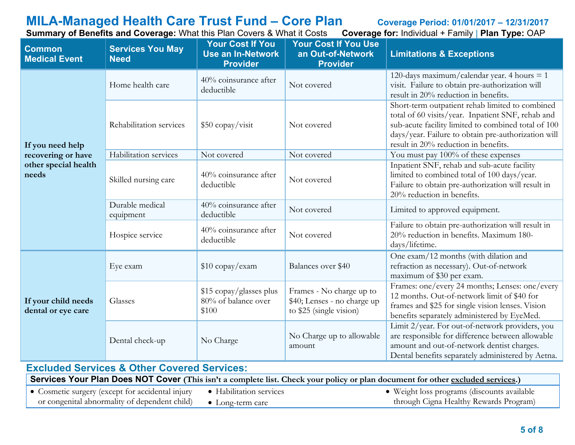# **MILA-Managed Health Care Trust Fund – Core Plan** Coverage Period: 01/01/2017 – 12/31/2017<br>Summary of Benefits and Coverage: What this Plan Covers & What it Costs Coverage for: Individual + Family | Plan Type: OAP

| <b>Common</b><br><b>Medical Event</b>                                                                                           | s: = s:: s:: c a:: a = s : s: a g<br><b>Services You May</b><br><b>Need</b> | <b>Your Cost If You</b><br><b>Use an In-Network</b><br><b>Provider</b> | <b>Your Cost If You Use</b><br>an Out-of-Network<br><b>Provider</b>                | $1911$ $$ $01110$ $0001$ $$ $011111$ $1$ $1$ $1$ $1$ $1$ $1$ $1$ $1$<br><b>Limitations &amp; Exceptions</b>                                                                                                                                                |
|---------------------------------------------------------------------------------------------------------------------------------|-----------------------------------------------------------------------------|------------------------------------------------------------------------|------------------------------------------------------------------------------------|------------------------------------------------------------------------------------------------------------------------------------------------------------------------------------------------------------------------------------------------------------|
| If you need help                                                                                                                | Home health care                                                            | 40% coinsurance after<br>deductible                                    | Not covered                                                                        | 120-days maximum/calendar year. 4 hours $= 1$<br>visit. Failure to obtain pre-authorization will<br>result in 20% reduction in benefits.                                                                                                                   |
|                                                                                                                                 | Rehabilitation services                                                     | \$50 copay/visit                                                       | Not covered                                                                        | Short-term outpatient rehab limited to combined<br>total of 60 visits/year. Inpatient SNF, rehab and<br>sub-acute facility limited to combined total of 100<br>days/year. Failure to obtain pre-authorization will<br>result in 20% reduction in benefits. |
| recovering or have                                                                                                              | Habilitation services                                                       | Not covered                                                            | Not covered                                                                        | You must pay 100% of these expenses                                                                                                                                                                                                                        |
| other special health<br>needs                                                                                                   | Skilled nursing care                                                        | 40% coinsurance after<br>deductible                                    | Not covered                                                                        | Inpatient SNF, rehab and sub-acute facility<br>limited to combined total of 100 days/year.<br>Failure to obtain pre-authorization will result in<br>20% reduction in benefits.                                                                             |
|                                                                                                                                 | Durable medical<br>equipment                                                | 40% coinsurance after<br>deductible                                    | Not covered                                                                        | Limited to approved equipment.                                                                                                                                                                                                                             |
|                                                                                                                                 | Hospice service                                                             | 40% coinsurance after<br>deductible                                    | Not covered                                                                        | Failure to obtain pre-authorization will result in<br>20% reduction in benefits. Maximum 180-<br>days/lifetime.                                                                                                                                            |
| If your child needs<br>dental or eye care                                                                                       | Eye exam                                                                    | \$10 copay/exam                                                        | Balances over \$40                                                                 | One exam/12 months (with dilation and<br>refraction as necessary). Out-of-network<br>maximum of \$30 per exam.                                                                                                                                             |
|                                                                                                                                 | Glasses                                                                     | \$15 copay/glasses plus<br>80% of balance over<br>\$100                | Frames - No charge up to<br>\$40; Lenses - no charge up<br>to \$25 (single vision) | Frames: one/every 24 months; Lenses: one/every<br>12 months. Out-of-network limit of \$40 for<br>frames and \$25 for single vision lenses. Vision<br>benefits separately administered by EyeMed.                                                           |
|                                                                                                                                 | Dental check-up                                                             | No Charge                                                              | No Charge up to allowable<br>amount                                                | Limit 2/year. For out-of-network providers, you<br>are responsible for difference between allowable<br>amount and out-of-network dentist charges.<br>Dental benefits separately administered by Aetna.                                                     |
| <b>Excluded Services &amp; Other Covered Services:</b>                                                                          |                                                                             |                                                                        |                                                                                    |                                                                                                                                                                                                                                                            |
| Services Your Plan Does NOT Cover (This isn't a complete list. Check your policy or plan document for other excluded services.) |                                                                             |                                                                        |                                                                                    |                                                                                                                                                                                                                                                            |

**Summary of Benefits and Coverage:** What this Plan Covers & What it Costs

• Cosmetic surgery (except for accidental injury or congenital abnormality of dependent child) • Habilitation services • Long-term care • Weight loss programs (discounts available through Cigna Healthy Rewards Program)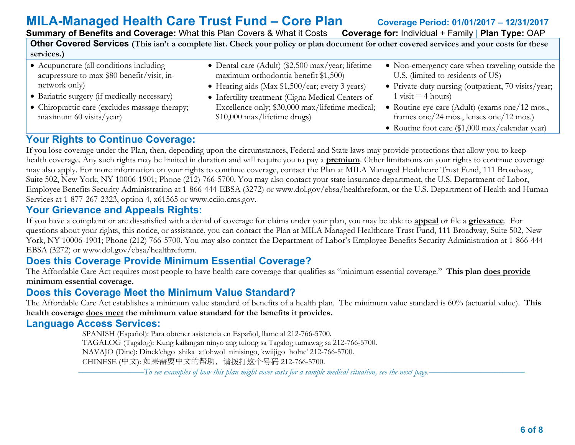**MILA-Managed Health Care Trust Fund – Core Plan** Coverage Period: 01/01/2017 – 12/31/2017<br>Summary of Benefits and Coverage: What this Plan Covers & What it Costs Coverage for: Individual + Family | Plan Type: OAP **Summary of Benefits and Coverage: What this Plan Covers & What it Costs** 

**Other Covered Services (This isn't a complete list. Check your policy or plan document for other covered services and your costs for these services.)**

- Acupuncture (all conditions including acupressure to max \$80 benefit/visit, innetwork only)
- Bariatric surgery (if medically necessary)
- Chiropractic care (excludes massage therapy; maximum 60 visits/year)
- Dental care (Adult) (\$2,500 max/year; lifetime maximum orthodontia benefit \$1,500)
- Hearing aids (Max \$1,500/ear; every 3 years)
- Infertility treatment (Cigna Medical Centers of Excellence only; \$30,000 max/lifetime medical; \$10,000 max/lifetime drugs)
- Non-emergency care when traveling outside the U.S. (limited to residents of US)
- Private-duty nursing (outpatient, 70 visits/year;  $1$  visit  $=$  4 hours)
- Routine eye care (Adult) (exams one/12 mos., frames one/24 mos., lenses one/12 mos.)
- Routine foot care (\$1,000 max/calendar year)

## **Your Rights to Continue Coverage:**

If you lose coverage under the Plan, then, depending upon the circumstances, Federal and State laws may provide protections that allow you to keep health coverage. Any such rights may be limited in duration and will require you to pay a **premium**. Other limitations on your rights to continue coverage may also apply. For more information on your rights to continue coverage, contact the Plan at MILA Managed Healthcare Trust Fund, 111 Broadway, Suite 502, New York, NY 10006-1901; Phone (212) 766-5700. You may also contact your state insurance department, the U.S. Department of Labor, Employee Benefits Security Administration at 1-866-444-EBSA (3272) or www.dol.gov/ebsa/healthreform, or the U.S. Department of Health and Human Services at 1-877-267-2323, option 4, x61565 or www.cciio.cms.gov.

## **Your Grievance and Appeals Rights:**

If you have a complaint or are dissatisfied with a denial of coverage for claims under your plan, you may be able to **appeal** or file a **grievance**. For questions about your rights, this notice, or assistance, you can contact the Plan at MILA Managed Healthcare Trust Fund, 111 Broadway, Suite 502, New York, NY 10006-1901; Phone (212) 766-5700. You may also contact the Department of Labor's Employee Benefits Security Administration at 1-866-444- EBSA (3272) or www.dol.gov/ebsa/healthreform.

## **Does this Coverage Provide Minimum Essential Coverage?**

The Affordable Care Act requires most people to have health care coverage that qualifies as "minimum essential coverage." **This plan does provide minimum essential coverage.** 

## **Does this Coverage Meet the Minimum Value Standard?**

The Affordable Care Act establishes a minimum value standard of benefits of a health plan. The minimum value standard is 60% (actuarial value). **This health coverage does meet the minimum value standard for the benefits it provides.** 

## **Language Access Services:**

 SPANISH (Español): Para obtener asistencia en Español, llame al 212-766-5700. TAGALOG (Tagalog): Kung kailangan ninyo ang tulong sa Tagalog tumawag sa 212-766-5700. NAVAJO (Dine): Dinek'ehgo shika at'ohwol ninisingo, kwiijigo holne' 212-766-5700. CHINESE (中文): 如果需要中文的帮助,请拨打这个号码 212-766-5700.

–––––––––––––––*To see examples of how this plan might cover costs for a sample medical situation, see the next page.–––––––––––*–––––––––––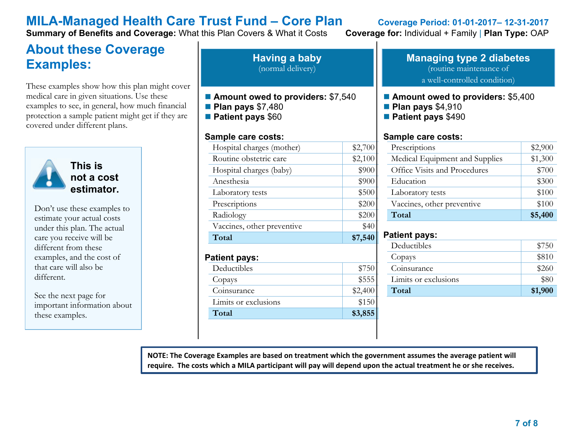## **MILA-Managed Health Care Trust Fund – Core Plan Coverage Period: 01-01-2017– 12-31-2017**

**Summary of Benefits and Coverage:** What this Plan Covers & What it Costs **Coverage for:** Individual + Family | **Plan Type:** OAP

## **About these Coverage Examples:**

These examples show how this plan might cover medical care in given situations. Use these examples to see, in general, how much financial protection a sample patient might get if they are covered under different plans.



Don't use these examples to estimate your actual costs under this plan. The actual care you receive will be different from these examples, and the cost of that care will also be different.

See the next page for important information about these examples.

**Having a baby** (normal delivery)

- Amount owed to providers: \$7,540
- **Plan pays** \$7,480
- **Patient pays** \$60

### **Sample care costs:**

| Hospital charges (mother)           | \$2,700 |
|-------------------------------------|---------|
| Routine obstetric care              | \$2,100 |
| Hospital charges (baby)             | \$900   |
| Anesthesia                          | \$900   |
| Laboratory tests                    | \$500   |
| Prescriptions                       | \$200   |
| Radiology                           | \$200   |
| Vaccines, other preventive          | \$40    |
| Total                               | \$7,540 |
| <b>Patient pays:</b><br>Deductibles |         |
|                                     | \$750   |
| Copays                              | \$555   |
| Coinsurance                         | \$2,400 |
| Limits or exclusions                | \$150   |
| Total                               | \$3,855 |

### **Managing type 2 diabetes** (routine maintenance of a well-controlled condition)

### ■ **Amount owed to providers: \$5,400**

- **Plan pays** \$4,910
- **Patient pays** \$490

### **Sample care costs:**

| Prescriptions                  | \$2,900 |
|--------------------------------|---------|
| Medical Equipment and Supplies | \$1,300 |
| Office Visits and Procedures   | \$700   |
| Education                      | \$300   |
| Laboratory tests               | \$100   |
| Vaccines, other preventive     | \$100   |
| Total                          | \$5,400 |

### **Patient pays:**

| Deductibles          | \$750   |
|----------------------|---------|
| Copays               | \$810   |
| Coinsurance          | \$260   |
| Limits or exclusions | \$80    |
| Total                | \$1,900 |

**NOTE: The Coverage Examples are based on treatment which the government assumes the average patient will require. The costs which a MILA participant will pay will depend upon the actual treatment he or she receives.**